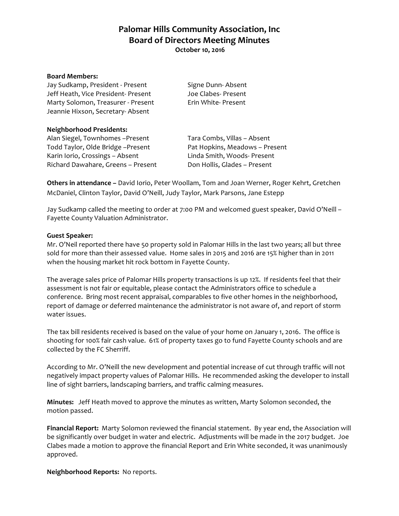**Palomar Hills Community Association, Inc Board of Directors Meeting Minutes October 10, 2016**

#### **Board Members:**

Jay Sudkamp, President - Present Signe Dunn-Absent Jeff Heath, Vice President- Present Joe Clabes- Present Marty Solomon, Treasurer - Present Erin White- Present Jeannie Hixson, Secretary- Absent

### **Neighborhood Presidents:**

Alan Siegel, Townhomes -Present Tara Combs, Villas - Absent Todd Taylor, Olde Bridge -Present Pat Hopkins, Meadows - Present Karin Iorio, Crossings – Absent Linda Smith, Woods- Present Richard Dawahare, Greens – Present Don Hollis, Glades – Present

**Others in attendance –** David Iorio, Peter Woollam, Tom and Joan Werner, Roger Kehrt, Gretchen McDaniel, Clinton Taylor, David O'Neill, Judy Taylor, Mark Parsons, Jane Estepp

Jay Sudkamp called the meeting to order at 7:00 PM and welcomed guest speaker, David O'Neill – Fayette County Valuation Administrator.

#### **Guest Speaker:**

Mr. O'Neil reported there have 50 property sold in Palomar Hills in the last two years; all but three sold for more than their assessed value. Home sales in 2015 and 2016 are 15% higher than in 2011 when the housing market hit rock bottom in Fayette County.

The average sales price of Palomar Hills property transactions is up 12%. If residents feel that their assessment is not fair or equitable, please contact the Administrators office to schedule a conference. Bring most recent appraisal, comparables to five other homes in the neighborhood, report of damage or deferred maintenance the administrator is not aware of, and report of storm water issues.

The tax bill residents received is based on the value of your home on January 1, 2016. The office is shooting for 100% fair cash value. 61% of property taxes go to fund Fayette County schools and are collected by the FC Sherriff.

According to Mr. O'Neill the new development and potential increase of cut through traffic will not negatively impact property values of Palomar Hills. He recommended asking the developer to install line of sight barriers, landscaping barriers, and traffic calming measures.

**Minutes:** Jeff Heath moved to approve the minutes as written, Marty Solomon seconded, the motion passed.

**Financial Report:** Marty Solomon reviewed the financial statement. By year end, the Association will be significantly over budget in water and electric. Adjustments will be made in the 2017 budget. Joe Clabes made a motion to approve the financial Report and Erin White seconded, it was unanimously approved.

**Neighborhood Reports:** No reports.